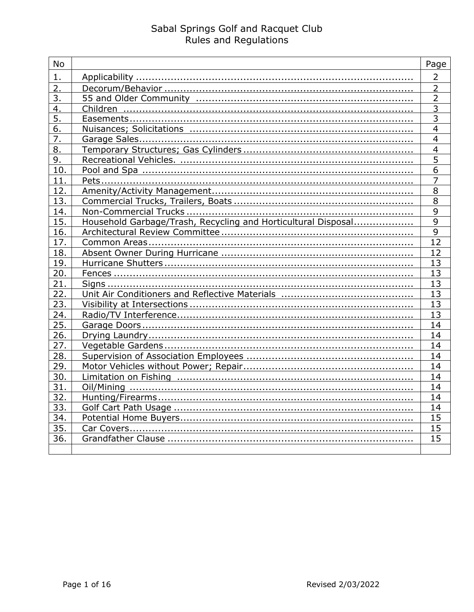| <b>No</b>        |                                                               | Page            |
|------------------|---------------------------------------------------------------|-----------------|
| $\mathbf{1}$ .   |                                                               | $\overline{2}$  |
| $\overline{2}$ . |                                                               | $\overline{2}$  |
| 3.               |                                                               | $\overline{2}$  |
| 4.               |                                                               | $\overline{3}$  |
| 5.               |                                                               | $\overline{3}$  |
| 6.               |                                                               | $\overline{4}$  |
| $\overline{7}$ . |                                                               | $\overline{4}$  |
| 8.               |                                                               | $\overline{4}$  |
| 9.               |                                                               | 5               |
| 10.              |                                                               | $\overline{6}$  |
| 11.              |                                                               | $\overline{7}$  |
| 12.              |                                                               | 8               |
| 13.              |                                                               | $\overline{8}$  |
| 14.              |                                                               | $\overline{9}$  |
| 15.              | Household Garbage/Trash, Recycling and Horticultural Disposal | $\overline{9}$  |
| 16.              |                                                               | $\overline{9}$  |
| 17.              |                                                               | 12              |
| 18.              |                                                               | 12              |
| 19.              |                                                               | 13              |
| 20.              |                                                               | 13              |
| 21.              |                                                               | 13              |
| 22.              |                                                               | $\overline{13}$ |
| 23.              |                                                               | 13              |
| 24.              |                                                               | 13              |
| 25.              |                                                               | 14              |
| 26.              |                                                               | 14              |
| 27.              |                                                               | 14              |
| 28.              |                                                               | $\overline{14}$ |
| 29.              |                                                               | 14              |
| 30.              |                                                               | 14              |
| 31.              |                                                               | 14              |
| 32.              |                                                               | 14              |
| 33.              |                                                               | 14              |
| 34.              |                                                               | 15              |
| 35.              |                                                               | 15              |
| 36.              |                                                               | 15              |
|                  |                                                               |                 |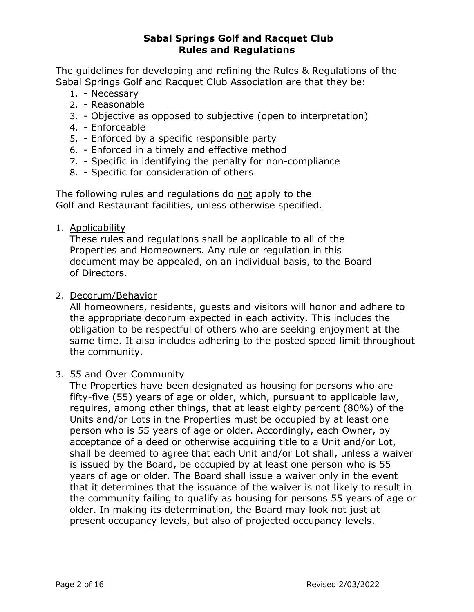The guidelines for developing and refining the Rules & Regulations of the Sabal Springs Golf and Racquet Club Association are that they be:

- 1. Necessary
- 2. Reasonable
- 3. Objective as opposed to subjective (open to interpretation)
- 4. Enforceable
- 5. Enforced by a specific responsible party
- 6. Enforced in a timely and effective method
- 7. Specific in identifying the penalty for non-compliance
- 8. Specific for consideration of others

The following rules and regulations do not apply to the Golf and Restaurant facilities, unless otherwise specified.

1. Applicability

These rules and regulations shall be applicable to all of the Properties and Homeowners. Any rule or regulation in this document may be appealed, on an individual basis, to the Board of Directors.

2. Decorum/Behavior

All homeowners, residents, guests and visitors will honor and adhere to the appropriate decorum expected in each activity. This includes the obligation to be respectful of others who are seeking enjoyment at the same time. It also includes adhering to the posted speed limit throughout the community.

## 3. 55 and Over Community

The Properties have been designated as housing for persons who are fifty-five (55) years of age or older, which, pursuant to applicable law, requires, among other things, that at least eighty percent (80%) of the Units and/or Lots in the Properties must be occupied by at least one person who is 55 years of age or older. Accordingly, each Owner, by acceptance of a deed or otherwise acquiring title to a Unit and/or Lot, shall be deemed to agree that each Unit and/or Lot shall, unless a waiver is issued by the Board, be occupied by at least one person who is 55 years of age or older. The Board shall issue a waiver only in the event that it determines that the issuance of the waiver is not likely to result in the community failing to qualify as housing for persons 55 years of age or older. In making its determination, the Board may look not just at present occupancy levels, but also of projected occupancy levels.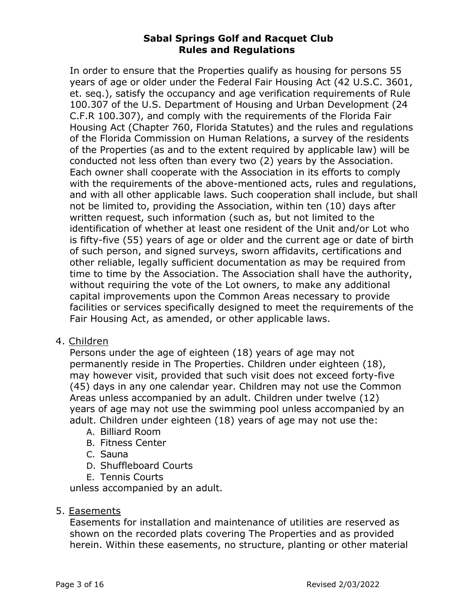In order to ensure that the Properties qualify as housing for persons 55 years of age or older under the Federal Fair Housing Act (42 U.S.C. 3601, et. seq.), satisfy the occupancy and age verification requirements of Rule 100.307 of the U.S. Department of Housing and Urban Development (24 C.F.R 100.307), and comply with the requirements of the Florida Fair Housing Act (Chapter 760, Florida Statutes) and the rules and regulations of the Florida Commission on Human Relations, a survey of the residents of the Properties (as and to the extent required by applicable law) will be conducted not less often than every two (2) years by the Association. Each owner shall cooperate with the Association in its efforts to comply with the requirements of the above-mentioned acts, rules and regulations, and with all other applicable laws. Such cooperation shall include, but shall not be limited to, providing the Association, within ten (10) days after written request, such information (such as, but not limited to the identification of whether at least one resident of the Unit and/or Lot who is fifty-five (55) years of age or older and the current age or date of birth of such person, and signed surveys, sworn affidavits, certifications and other reliable, legally sufficient documentation as may be required from time to time by the Association. The Association shall have the authority, without requiring the vote of the Lot owners, to make any additional capital improvements upon the Common Areas necessary to provide facilities or services specifically designed to meet the requirements of the Fair Housing Act, as amended, or other applicable laws.

4. Children

Persons under the age of eighteen (18) years of age may not permanently reside in The Properties. Children under eighteen (18), may however visit, provided that such visit does not exceed forty-five (45) days in any one calendar year. Children may not use the Common Areas unless accompanied by an adult. Children under twelve (12) years of age may not use the swimming pool unless accompanied by an adult. Children under eighteen (18) years of age may not use the:

- A. Billiard Room
- B. Fitness Center
- C. Sauna
- D. Shuffleboard Courts
- E. Tennis Courts

unless accompanied by an adult.

## 5. Easements

Easements for installation and maintenance of utilities are reserved as shown on the recorded plats covering The Properties and as provided herein. Within these easements, no structure, planting or other material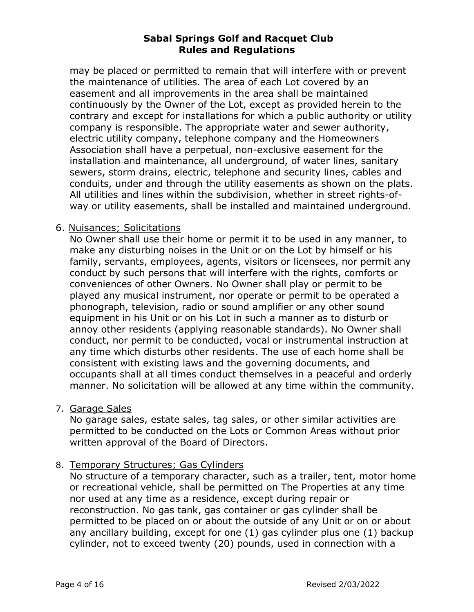may be placed or permitted to remain that will interfere with or prevent the maintenance of utilities. The area of each Lot covered by an easement and all improvements in the area shall be maintained continuously by the Owner of the Lot, except as provided herein to the contrary and except for installations for which a public authority or utility company is responsible. The appropriate water and sewer authority, electric utility company, telephone company and the Homeowners Association shall have a perpetual, non-exclusive easement for the installation and maintenance, all underground, of water lines, sanitary sewers, storm drains, electric, telephone and security lines, cables and conduits, under and through the utility easements as shown on the plats. All utilities and lines within the subdivision, whether in street rights-ofway or utility easements, shall be installed and maintained underground.

#### 6. Nuisances; Solicitations

No Owner shall use their home or permit it to be used in any manner, to make any disturbing noises in the Unit or on the Lot by himself or his family, servants, employees, agents, visitors or licensees, nor permit any conduct by such persons that will interfere with the rights, comforts or conveniences of other Owners. No Owner shall play or permit to be played any musical instrument, nor operate or permit to be operated a phonograph, television, radio or sound amplifier or any other sound equipment in his Unit or on his Lot in such a manner as to disturb or annoy other residents (applying reasonable standards). No Owner shall conduct, nor permit to be conducted, vocal or instrumental instruction at any time which disturbs other residents. The use of each home shall be consistent with existing laws and the governing documents, and occupants shall at all times conduct themselves in a peaceful and orderly manner. No solicitation will be allowed at any time within the community.

7. Garage Sales

No garage sales, estate sales, tag sales, or other similar activities are permitted to be conducted on the Lots or Common Areas without prior written approval of the Board of Directors.

#### 8. Temporary Structures; Gas Cylinders

No structure of a temporary character, such as a trailer, tent, motor home or recreational vehicle, shall be permitted on The Properties at any time nor used at any time as a residence, except during repair or reconstruction. No gas tank, gas container or gas cylinder shall be permitted to be placed on or about the outside of any Unit or on or about any ancillary building, except for one (1) gas cylinder plus one (1) backup cylinder, not to exceed twenty (20) pounds, used in connection with a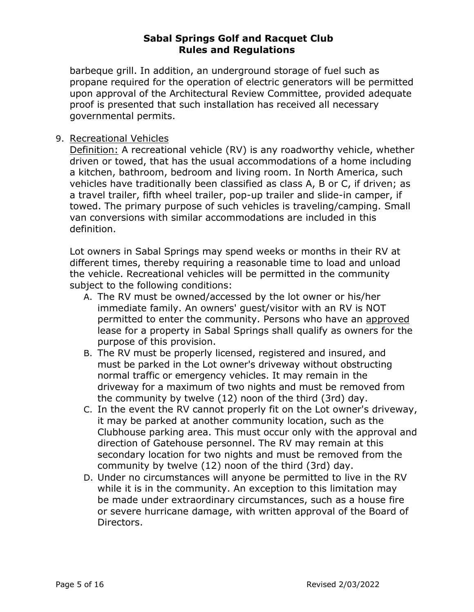barbeque grill. In addition, an underground storage of fuel such as propane required for the operation of electric generators will be permitted upon approval of the Architectural Review Committee, provided adequate proof is presented that such installation has received all necessary governmental permits.

## 9. Recreational Vehicles

Definition: A recreational vehicle (RV) is any roadworthy vehicle, whether driven or towed, that has the usual accommodations of a home including a kitchen, bathroom, bedroom and living room. In North America, such vehicles have traditionally been classified as class A, B or C, if driven; as a travel trailer, fifth wheel trailer, pop-up trailer and slide-in camper, if towed. The primary purpose of such vehicles is traveling/camping. Small van conversions with similar accommodations are included in this definition.

Lot owners in Sabal Springs may spend weeks or months in their RV at different times, thereby requiring a reasonable time to load and unload the vehicle. Recreational vehicles will be permitted in the community subject to the following conditions:

- A. The RV must be owned/accessed by the lot owner or his/her immediate family. An owners' guest/visitor with an RV is NOT permitted to enter the community. Persons who have an approved lease for a property in Sabal Springs shall qualify as owners for the purpose of this provision.
- B. The RV must be properly licensed, registered and insured, and must be parked in the Lot owner's driveway without obstructing normal traffic or emergency vehicles. It may remain in the driveway for a maximum of two nights and must be removed from the community by twelve (12) noon of the third (3rd) day.
- C. In the event the RV cannot properly fit on the Lot owner's driveway, it may be parked at another community location, such as the Clubhouse parking area. This must occur only with the approval and direction of Gatehouse personnel. The RV may remain at this secondary location for two nights and must be removed from the community by twelve (12) noon of the third (3rd) day.
- D. Under no circumstances will anyone be permitted to live in the RV while it is in the community. An exception to this limitation may be made under extraordinary circumstances, such as a house fire or severe hurricane damage, with written approval of the Board of Directors.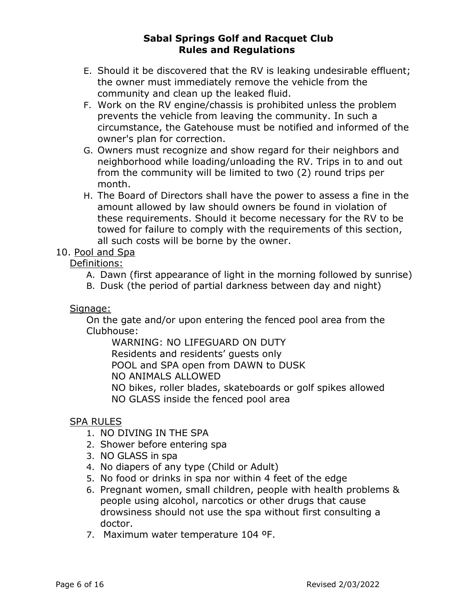- E. Should it be discovered that the RV is leaking undesirable effluent; the owner must immediately remove the vehicle from the community and clean up the leaked fluid.
- F. Work on the RV engine/chassis is prohibited unless the problem prevents the vehicle from leaving the community. In such a circumstance, the Gatehouse must be notified and informed of the owner's plan for correction.
- G. Owners must recognize and show regard for their neighbors and neighborhood while loading/unloading the RV. Trips in to and out from the community will be limited to two (2) round trips per month.
- H. The Board of Directors shall have the power to assess a fine in the amount allowed by law should owners be found in violation of these requirements. Should it become necessary for the RV to be towed for failure to comply with the requirements of this section, all such costs will be borne by the owner.

# 10. Pool and Spa

# Definitions:

- A. Dawn (first appearance of light in the morning followed by sunrise)
- B. Dusk (the period of partial darkness between day and night)

# Signage:

On the gate and/or upon entering the fenced pool area from the Clubhouse:

WARNING: NO LIFEGUARD ON DUTY

Residents and residents' guests only

POOL and SPA open from DAWN to DUSK

NO ANIMALS ALLOWED

NO bikes, roller blades, skateboards or golf spikes allowed

NO GLASS inside the fenced pool area

# SPA RULES

- 1. NO DIVING IN THE SPA
- 2. Shower before entering spa
- 3. NO GLASS in spa
- 4. No diapers of any type (Child or Adult)
- 5. No food or drinks in spa nor within 4 feet of the edge
- 6. Pregnant women, small children, people with health problems & people using alcohol, narcotics or other drugs that cause drowsiness should not use the spa without first consulting a doctor.
- 7. Maximum water temperature 104 ºF.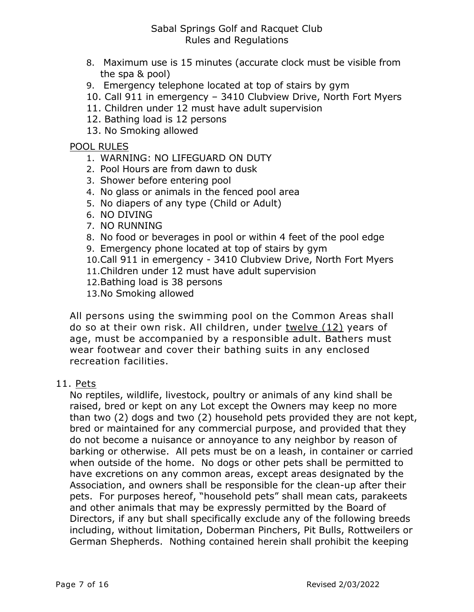- 8. Maximum use is 15 minutes (accurate clock must be visible from the spa & pool)
- 9. Emergency telephone located at top of stairs by gym
- 10. Call 911 in emergency 3410 Clubview Drive, North Fort Myers
- 11. Children under 12 must have adult supervision
- 12. Bathing load is 12 persons
- 13. No Smoking allowed

#### POOL RULES

- 1. WARNING: NO LIFEGUARD ON DUTY
- 2. Pool Hours are from dawn to dusk
- 3. Shower before entering pool
- 4. No glass or animals in the fenced pool area
- 5. No diapers of any type (Child or Adult)
- 6. NO DIVING
- 7. NO RUNNING
- 8. No food or beverages in pool or within 4 feet of the pool edge
- 9. Emergency phone located at top of stairs by gym
- 10.Call 911 in emergency 3410 Clubview Drive, North Fort Myers
- 11.Children under 12 must have adult supervision
- 12.Bathing load is 38 persons
- 13.No Smoking allowed

All persons using the swimming pool on the Common Areas shall do so at their own risk. All children, under twelve (12) years of age, must be accompanied by a responsible adult. Bathers must wear footwear and cover their bathing suits in any enclosed recreation facilities.

#### 11. Pets

No reptiles, wildlife, livestock, poultry or animals of any kind shall be raised, bred or kept on any Lot except the Owners may keep no more than two (2) dogs and two (2) household pets provided they are not kept, bred or maintained for any commercial purpose, and provided that they do not become a nuisance or annoyance to any neighbor by reason of barking or otherwise. All pets must be on a leash, in container or carried when outside of the home. No dogs or other pets shall be permitted to have excretions on any common areas, except areas designated by the Association, and owners shall be responsible for the clean-up after their pets. For purposes hereof, "household pets" shall mean cats, parakeets and other animals that may be expressly permitted by the Board of Directors, if any but shall specifically exclude any of the following breeds including, without limitation, Doberman Pinchers, Pit Bulls, Rottweilers or German Shepherds. Nothing contained herein shall prohibit the keeping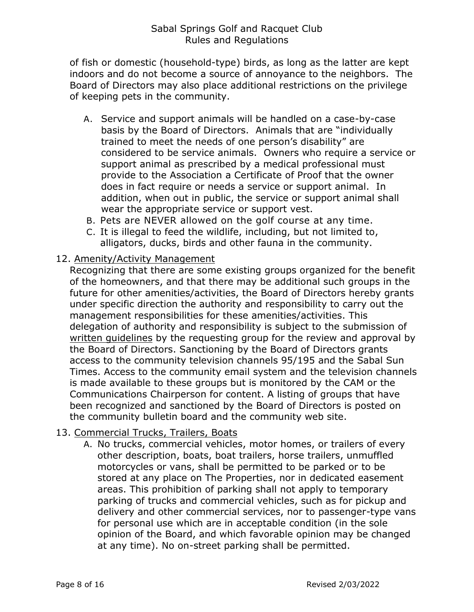of fish or domestic (household-type) birds, as long as the latter are kept indoors and do not become a source of annoyance to the neighbors. The Board of Directors may also place additional restrictions on the privilege of keeping pets in the community.

- A. Service and support animals will be handled on a case-by-case basis by the Board of Directors. Animals that are "individually trained to meet the needs of one person's disability" are considered to be service animals. Owners who require a service or support animal as prescribed by a medical professional must provide to the Association a Certificate of Proof that the owner does in fact require or needs a service or support animal. In addition, when out in public, the service or support animal shall wear the appropriate service or support vest.
- B. Pets are NEVER allowed on the golf course at any time.
- C. It is illegal to feed the wildlife, including, but not limited to, alligators, ducks, birds and other fauna in the community.

#### 12. Amenity/Activity Management

Recognizing that there are some existing groups organized for the benefit of the homeowners, and that there may be additional such groups in the future for other amenities/activities, the Board of Directors hereby grants under specific direction the authority and responsibility to carry out the management responsibilities for these amenities/activities. This delegation of authority and responsibility is subject to the submission of written guidelines by the requesting group for the review and approval by the Board of Directors. Sanctioning by the Board of Directors grants access to the community television channels 95/195 and the Sabal Sun Times. Access to the community email system and the television channels is made available to these groups but is monitored by the CAM or the Communications Chairperson for content. A listing of groups that have been recognized and sanctioned by the Board of Directors is posted on the community bulletin board and the community web site.

## 13. Commercial Trucks, Trailers, Boats

A. No trucks, commercial vehicles, motor homes, or trailers of every other description, boats, boat trailers, horse trailers, unmuffled motorcycles or vans, shall be permitted to be parked or to be stored at any place on The Properties, nor in dedicated easement areas. This prohibition of parking shall not apply to temporary parking of trucks and commercial vehicles, such as for pickup and delivery and other commercial services, nor to passenger-type vans for personal use which are in acceptable condition (in the sole opinion of the Board, and which favorable opinion may be changed at any time). No on-street parking shall be permitted.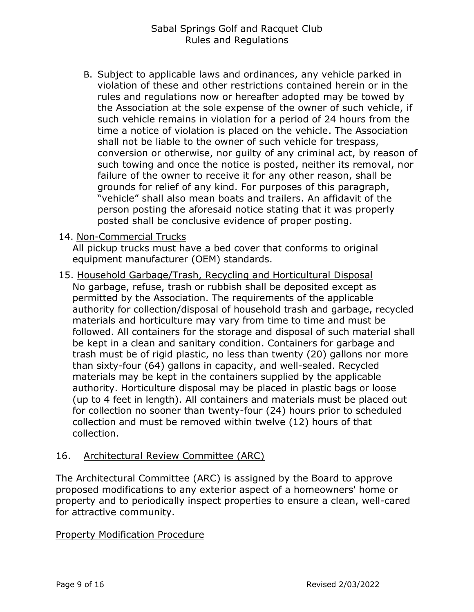B. Subject to applicable laws and ordinances, any vehicle parked in violation of these and other restrictions contained herein or in the rules and regulations now or hereafter adopted may be towed by the Association at the sole expense of the owner of such vehicle, if such vehicle remains in violation for a period of 24 hours from the time a notice of violation is placed on the vehicle. The Association shall not be liable to the owner of such vehicle for trespass, conversion or otherwise, nor guilty of any criminal act, by reason of such towing and once the notice is posted, neither its removal, nor failure of the owner to receive it for any other reason, shall be grounds for relief of any kind. For purposes of this paragraph, "vehicle" shall also mean boats and trailers. An affidavit of the person posting the aforesaid notice stating that it was properly posted shall be conclusive evidence of proper posting.

#### 14. Non-Commercial Trucks

All pickup trucks must have a bed cover that conforms to original equipment manufacturer (OEM) standards.

15. Household Garbage/Trash, Recycling and Horticultural Disposal No garbage, refuse, trash or rubbish shall be deposited except as permitted by the Association. The requirements of the applicable authority for collection/disposal of household trash and garbage, recycled materials and horticulture may vary from time to time and must be followed. All containers for the storage and disposal of such material shall be kept in a clean and sanitary condition. Containers for garbage and trash must be of rigid plastic, no less than twenty (20) gallons nor more than sixty-four (64) gallons in capacity, and well-sealed. Recycled materials may be kept in the containers supplied by the applicable authority. Horticulture disposal may be placed in plastic bags or loose (up to 4 feet in length). All containers and materials must be placed out for collection no sooner than twenty-four (24) hours prior to scheduled collection and must be removed within twelve (12) hours of that collection.

## 16. Architectural Review Committee (ARC)

The Architectural Committee (ARC) is assigned by the Board to approve proposed modifications to any exterior aspect of a homeowners' home or property and to periodically inspect properties to ensure a clean, well-cared for attractive community.

#### Property Modification Procedure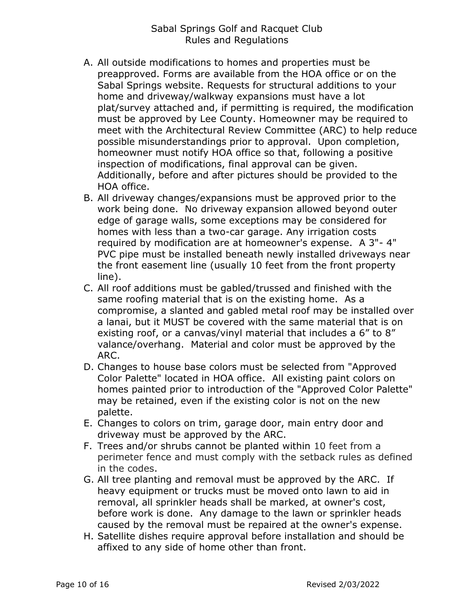- A. All outside modifications to homes and properties must be preapproved. Forms are available from the HOA office or on the Sabal Springs website. Requests for structural additions to your home and driveway/walkway expansions must have a lot plat/survey attached and, if permitting is required, the modification must be approved by Lee County. Homeowner may be required to meet with the Architectural Review Committee (ARC) to help reduce possible misunderstandings prior to approval. Upon completion, homeowner must notify HOA office so that, following a positive inspection of modifications, final approval can be given. Additionally, before and after pictures should be provided to the HOA office.
- B. All driveway changes/expansions must be approved prior to the work being done. No driveway expansion allowed beyond outer edge of garage walls, some exceptions may be considered for homes with less than a two-car garage. Any irrigation costs required by modification are at homeowner's expense. A 3"- 4" PVC pipe must be installed beneath newly installed driveways near the front easement line (usually 10 feet from the front property line).
- C. All roof additions must be gabled/trussed and finished with the same roofing material that is on the existing home. As a compromise, a slanted and gabled metal roof may be installed over a lanai, but it MUST be covered with the same material that is on existing roof, or a canvas/vinyl material that includes a 6" to 8" valance/overhang. Material and color must be approved by the ARC.
- D. Changes to house base colors must be selected from "Approved Color Palette" located in HOA office. All existing paint colors on homes painted prior to introduction of the "Approved Color Palette" may be retained, even if the existing color is not on the new palette.
- E. Changes to colors on trim, garage door, main entry door and driveway must be approved by the ARC.
- F. Trees and/or shrubs cannot be planted within 10 feet from a perimeter fence and must comply with the setback rules as defined in the codes.
- G. All tree planting and removal must be approved by the ARC. If heavy equipment or trucks must be moved onto lawn to aid in removal, all sprinkler heads shall be marked, at owner's cost, before work is done. Any damage to the lawn or sprinkler heads caused by the removal must be repaired at the owner's expense.
- H. Satellite dishes require approval before installation and should be affixed to any side of home other than front.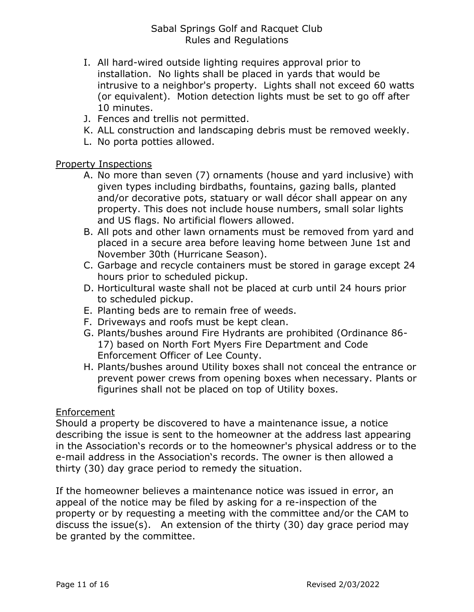- I. All hard-wired outside lighting requires approval prior to installation. No lights shall be placed in yards that would be intrusive to a neighbor's property. Lights shall not exceed 60 watts (or equivalent). Motion detection lights must be set to go off after 10 minutes.
- J. Fences and trellis not permitted.
- K. ALL construction and landscaping debris must be removed weekly.
- L. No porta potties allowed.

## Property Inspections

- A. No more than seven (7) ornaments (house and yard inclusive) with given types including birdbaths, fountains, gazing balls, planted and/or decorative pots, statuary or wall décor shall appear on any property. This does not include house numbers, small solar lights and US flags. No artificial flowers allowed.
- B. All pots and other lawn ornaments must be removed from yard and placed in a secure area before leaving home between June 1st and November 30th (Hurricane Season).
- C. Garbage and recycle containers must be stored in garage except 24 hours prior to scheduled pickup.
- D. Horticultural waste shall not be placed at curb until 24 hours prior to scheduled pickup.
- E. Planting beds are to remain free of weeds.
- F. Driveways and roofs must be kept clean.
- G. Plants/bushes around Fire Hydrants are prohibited (Ordinance 86- 17) based on North Fort Myers Fire Department and Code Enforcement Officer of Lee County.
- H. Plants/bushes around Utility boxes shall not conceal the entrance or prevent power crews from opening boxes when necessary. Plants or figurines shall not be placed on top of Utility boxes.

## Enforcement

Should a property be discovered to have a maintenance issue, a notice describing the issue is sent to the homeowner at the address last appearing in the Association's records or to the homeowner's physical address or to the e-mail address in the Association's records. The owner is then allowed a thirty (30) day grace period to remedy the situation.

If the homeowner believes a maintenance notice was issued in error, an appeal of the notice may be filed by asking for a re-inspection of the property or by requesting a meeting with the committee and/or the CAM to discuss the issue(s). An extension of the thirty (30) day grace period may be granted by the committee.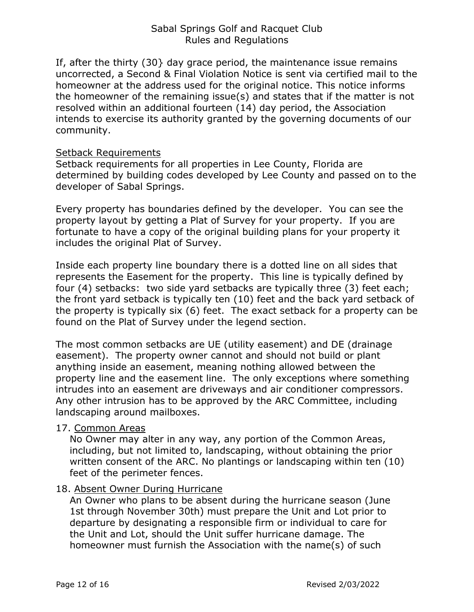If, after the thirty (30} day grace period, the maintenance issue remains uncorrected, a Second & Final Violation Notice is sent via certified mail to the homeowner at the address used for the original notice. This notice informs the homeowner of the remaining issue(s) and states that if the matter is not resolved within an additional fourteen (14) day period, the Association intends to exercise its authority granted by the governing documents of our community.

#### Setback Requirements

Setback requirements for all properties in Lee County, Florida are determined by building codes developed by Lee County and passed on to the developer of Sabal Springs.

Every property has boundaries defined by the developer. You can see the property layout by getting a Plat of Survey for your property. If you are fortunate to have a copy of the original building plans for your property it includes the original Plat of Survey.

Inside each property line boundary there is a dotted line on all sides that represents the Easement for the property. This line is typically defined by four (4) setbacks: two side yard setbacks are typically three (3) feet each; the front yard setback is typically ten (10) feet and the back yard setback of the property is typically six (6) feet. The exact setback for a property can be found on the Plat of Survey under the legend section.

The most common setbacks are UE (utility easement) and DE (drainage easement). The property owner cannot and should not build or plant anything inside an easement, meaning nothing allowed between the property line and the easement line. The only exceptions where something intrudes into an easement are driveways and air conditioner compressors. Any other intrusion has to be approved by the ARC Committee, including landscaping around mailboxes.

#### 17. Common Areas

No Owner may alter in any way, any portion of the Common Areas, including, but not limited to, landscaping, without obtaining the prior written consent of the ARC. No plantings or landscaping within ten (10) feet of the perimeter fences.

## 18. Absent Owner During Hurricane

An Owner who plans to be absent during the hurricane season (June 1st through November 30th) must prepare the Unit and Lot prior to departure by designating a responsible firm or individual to care for the Unit and Lot, should the Unit suffer hurricane damage. The homeowner must furnish the Association with the name(s) of such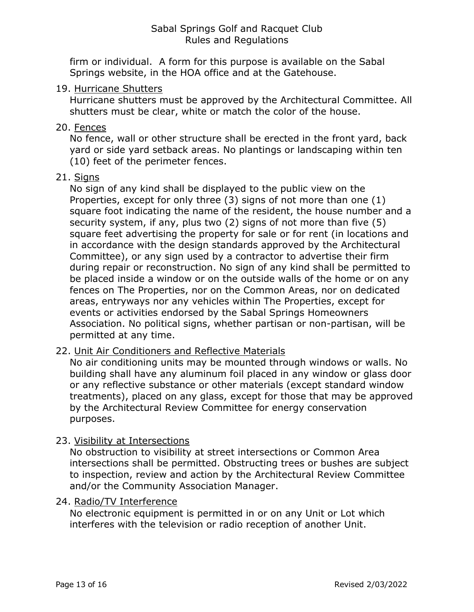firm or individual. A form for this purpose is available on the Sabal Springs website, in the HOA office and at the Gatehouse.

#### 19. Hurricane Shutters

Hurricane shutters must be approved by the Architectural Committee. All shutters must be clear, white or match the color of the house.

## 20. Fences

No fence, wall or other structure shall be erected in the front yard, back yard or side yard setback areas. No plantings or landscaping within ten (10) feet of the perimeter fences.

## 21. Signs

No sign of any kind shall be displayed to the public view on the Properties, except for only three (3) signs of not more than one (1) square foot indicating the name of the resident, the house number and a security system, if any, plus two (2) signs of not more than five (5) square feet advertising the property for sale or for rent (in locations and in accordance with the design standards approved by the Architectural Committee), or any sign used by a contractor to advertise their firm during repair or reconstruction. No sign of any kind shall be permitted to be placed inside a window or on the outside walls of the home or on any fences on The Properties, nor on the Common Areas, nor on dedicated areas, entryways nor any vehicles within The Properties, except for events or activities endorsed by the Sabal Springs Homeowners Association. No political signs, whether partisan or non-partisan, will be permitted at any time.

## 22. Unit Air Conditioners and Reflective Materials

No air conditioning units may be mounted through windows or walls. No building shall have any aluminum foil placed in any window or glass door or any reflective substance or other materials (except standard window treatments), placed on any glass, except for those that may be approved by the Architectural Review Committee for energy conservation purposes.

## 23. Visibility at Intersections

No obstruction to visibility at street intersections or Common Area intersections shall be permitted. Obstructing trees or bushes are subject to inspection, review and action by the Architectural Review Committee and/or the Community Association Manager.

## 24. Radio/TV Interference

No electronic equipment is permitted in or on any Unit or Lot which interferes with the television or radio reception of another Unit.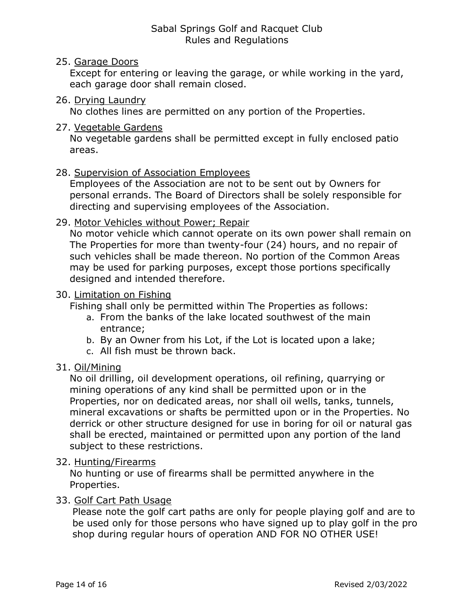#### 25. Garage Doors

Except for entering or leaving the garage, or while working in the yard, each garage door shall remain closed.

#### 26. Drying Laundry

No clothes lines are permitted on any portion of the Properties.

#### 27. Vegetable Gardens

No vegetable gardens shall be permitted except in fully enclosed patio areas.

#### 28. Supervision of Association Employees

Employees of the Association are not to be sent out by Owners for personal errands. The Board of Directors shall be solely responsible for directing and supervising employees of the Association.

## 29. Motor Vehicles without Power; Repair

No motor vehicle which cannot operate on its own power shall remain on The Properties for more than twenty-four (24) hours, and no repair of such vehicles shall be made thereon. No portion of the Common Areas may be used for parking purposes, except those portions specifically designed and intended therefore.

#### 30. Limitation on Fishing

Fishing shall only be permitted within The Properties as follows:

- a. From the banks of the lake located southwest of the main entrance;
- b. By an Owner from his Lot, if the Lot is located upon a lake;
- c. All fish must be thrown back.

## 31. Oil/Mining

No oil drilling, oil development operations, oil refining, quarrying or mining operations of any kind shall be permitted upon or in the Properties, nor on dedicated areas, nor shall oil wells, tanks, tunnels, mineral excavations or shafts be permitted upon or in the Properties. No derrick or other structure designed for use in boring for oil or natural gas shall be erected, maintained or permitted upon any portion of the land subject to these restrictions.

## 32. Hunting/Firearms

No hunting or use of firearms shall be permitted anywhere in the Properties.

## 33. Golf Cart Path Usage

Please note the golf cart paths are only for people playing golf and are to be used only for those persons who have signed up to play golf in the pro shop during regular hours of operation AND FOR NO OTHER USE!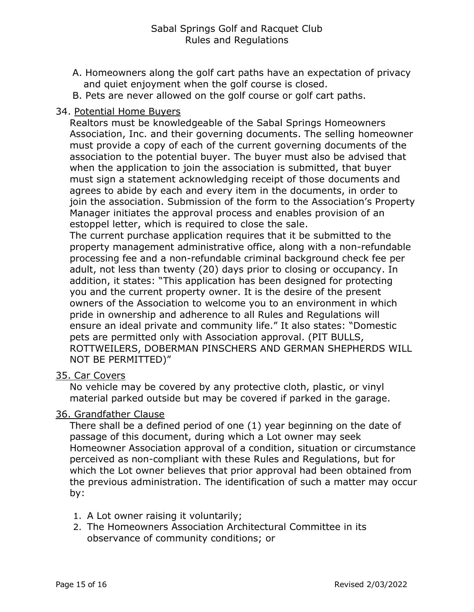- A. Homeowners along the golf cart paths have an expectation of privacy and quiet enjoyment when the golf course is closed.
- B. Pets are never allowed on the golf course or golf cart paths.

#### 34. Potential Home Buyers

Realtors must be knowledgeable of the Sabal Springs Homeowners Association, Inc. and their governing documents. The selling homeowner must provide a copy of each of the current governing documents of the association to the potential buyer. The buyer must also be advised that when the application to join the association is submitted, that buyer must sign a statement acknowledging receipt of those documents and agrees to abide by each and every item in the documents, in order to join the association. Submission of the form to the Association's Property Manager initiates the approval process and enables provision of an estoppel letter, which is required to close the sale.

The current purchase application requires that it be submitted to the property management administrative office, along with a non-refundable processing fee and a non-refundable criminal background check fee per adult, not less than twenty (20) days prior to closing or occupancy. In addition, it states: "This application has been designed for protecting you and the current property owner. It is the desire of the present owners of the Association to welcome you to an environment in which pride in ownership and adherence to all Rules and Regulations will ensure an ideal private and community life." It also states: "Domestic pets are permitted only with Association approval. (PIT BULLS, ROTTWEILERS, DOBERMAN PINSCHERS AND GERMAN SHEPHERDS WILL NOT BE PERMITTED)"

#### 35. Car Covers

No vehicle may be covered by any protective cloth, plastic, or vinyl material parked outside but may be covered if parked in the garage.

## 36. Grandfather Clause

There shall be a defined period of one (1) year beginning on the date of passage of this document, during which a Lot owner may seek Homeowner Association approval of a condition, situation or circumstance perceived as non-compliant with these Rules and Regulations, but for which the Lot owner believes that prior approval had been obtained from the previous administration. The identification of such a matter may occur by:

- 1. A Lot owner raising it voluntarily;
- 2. The Homeowners Association Architectural Committee in its observance of community conditions; or